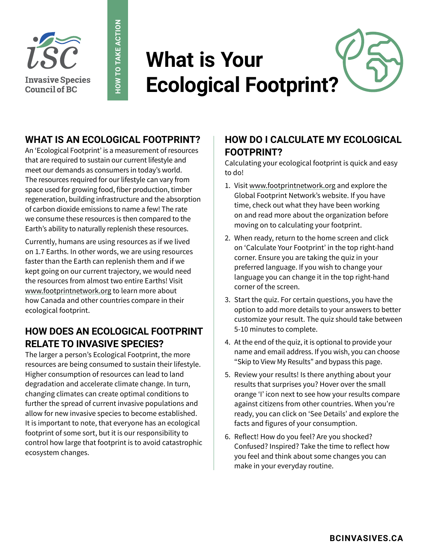

# **What is Your Ecological Footprint?**

### **WHAT IS AN ECOLOGICAL FOOTPRINT?**

**HOW TO TAKE ACTION**

**HOW TO TAKE ACTION** 

An 'Ecological Footprint' is a measurement of resources that are required to sustain our current lifestyle and meet our demands as consumers in today's world. The resources required for our lifestyle can vary from space used for growing food, fiber production, timber regeneration, building infrastructure and the absorption of carbon dioxide emissions to name a few! The rate we consume these resources is then compared to the Earth's ability to naturally replenish these resources.

Currently, humans are using resources as if we lived on 1.7 Earths. In other words, we are using resources faster than the Earth can replenish them and if we kept going on our current trajectory, we would need the resources from almost two entire Earths! Visit [www.footprintnetwork.org](https://www.footprintnetwork.org/) to learn more about how Canada and other countries compare in their ecological footprint.

### **HOW DOES AN ECOLOGICAL FOOTPRINT RELATE TO INVASIVE SPECIES?**

The larger a person's Ecological Footprint, the more resources are being consumed to sustain their lifestyle. Higher consumption of resources can lead to land degradation and accelerate climate change. In turn, changing climates can create optimal conditions to further the spread of current invasive populations and allow for new invasive species to become established. It is important to note, that everyone has an ecological footprint of some sort, but it is our responsibility to control how large that footprint is to avoid catastrophic ecosystem changes.

#### **HOW DO I CALCULATE MY ECOLOGICAL FOOTPRINT?**

Calculating your ecological footprint is quick and easy to do!

- 1. Visit [www.footprintnetwork.org](https://footprintnetwork.org) and explore the Global Footprint Network's website. If you have time, check out what they have been working on and read more about the organization before moving on to calculating your footprint.
- 2. When ready, return to the home screen and click on 'Calculate Your Footprint' in the top right-hand corner. Ensure you are taking the quiz in your preferred language. If you wish to change your language you can change it in the top right-hand corner of the screen.
- 3. Start the quiz. For certain questions, you have the option to add more details to your answers to better customize your result. The quiz should take between 5-10 minutes to complete.
- 4. At the end of the quiz, it is optional to provide your name and email address. If you wish, you can choose "Skip to View My Results" and bypass this page.
- 5. Review your results! Is there anything about your results that surprises you? Hover over the small orange 'I' icon next to see how your results compare against citizens from other countries. When you're ready, you can click on 'See Details' and explore the facts and figures of your consumption.
- 6. Reflect! How do you feel? Are you shocked? Confused? Inspired? Take the time to reflect how you feel and think about some changes you can make in your everyday routine.